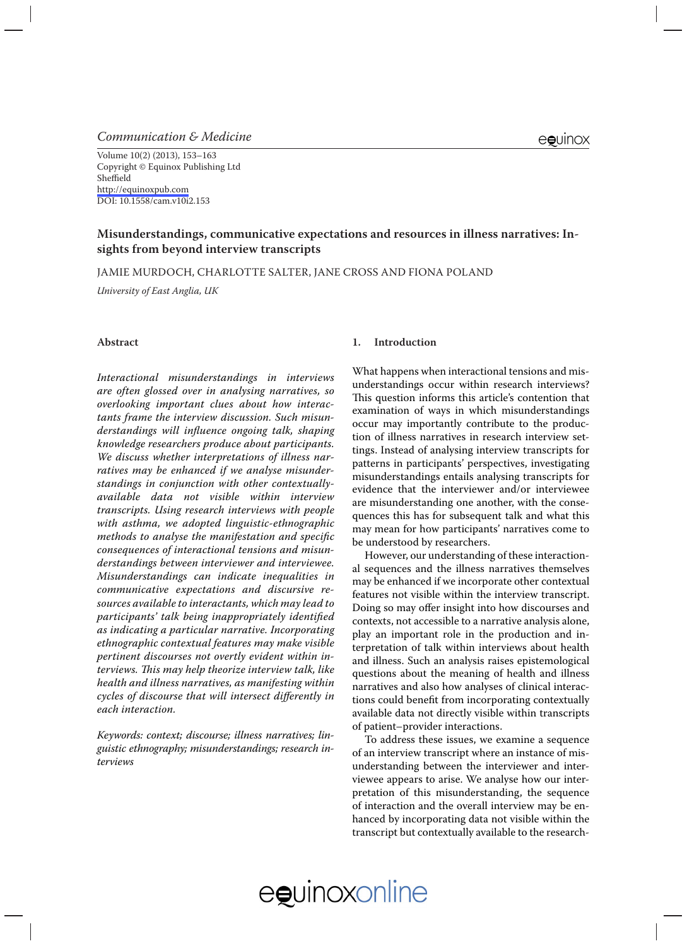## *Communication & Medicine*

Volume 10(2) (2013), 153–163 Copyright © Equinox Publishing Ltd Sheffield <http://equinoxpub.com> DOI: 10.1558/cam.v10i2.153

## **Misunderstandings, communicative expectations and resources in illness narratives: Insights from beyond interview transcripts**

Jamie Murdoch, Charlotte Salter, Jane Cross and Fiona Poland

*University of East Anglia, UK*

### **Abstract**

*Interactional misunderstandings in interviews are often glossed over in analysing narratives, so overlooking important clues about how interactants frame the interview discussion. Such misunderstandings will influence ongoing talk, shaping knowledge researchers produce about participants. We discuss whether interpretations of illness narratives may be enhanced if we analyse misunderstandings in conjunction with other contextuallyavailable data not visible within interview transcripts. Using research interviews with people with asthma, we adopted linguistic-ethnographic methods to analyse the manifestation and specific consequences of interactional tensions and misunderstandings between interviewer and interviewee. Misunderstandings can indicate inequalities in communicative expectations and discursive resources available to interactants, which may lead to participants' talk being inappropriately identified as indicating a particular narrative. Incorporating ethnographic contextual features may make visible pertinent discourses not overtly evident within interviews. This may help theorize interview talk, like health and illness narratives, as manifesting within cycles of discourse that will intersect differently in each interaction.*

*Keywords: context; discourse; illness narratives; linguistic ethnography; misunderstandings; research interviews*

### **1. Introduction**

What happens when interactional tensions and misunderstandings occur within research interviews? This question informs this article's contention that examination of ways in which misunderstandings occur may importantly contribute to the production of illness narratives in research interview settings. Instead of analysing interview transcripts for patterns in participants' perspectives, investigating misunderstandings entails analysing transcripts for evidence that the interviewer and/or interviewee are misunderstanding one another, with the consequences this has for subsequent talk and what this may mean for how participants' narratives come to be understood by researchers.

 However, our understanding of these interactional sequences and the illness narratives themselves may be enhanced if we incorporate other contextual features not visible within the interview transcript. Doing so may offer insight into how discourses and contexts, not accessible to a narrative analysis alone, play an important role in the production and interpretation of talk within interviews about health and illness. Such an analysis raises epistemological questions about the meaning of health and illness narratives and also how analyses of clinical interactions could benefit from incorporating contextually available data not directly visible within transcripts of patient–provider interactions.

 To address these issues, we examine a sequence of an interview transcript where an instance of misunderstanding between the interviewer and interviewee appears to arise. We analyse how our interpretation of this misunderstanding, the sequence of interaction and the overall interview may be enhanced by incorporating data not visible within the transcript but contextually available to the research-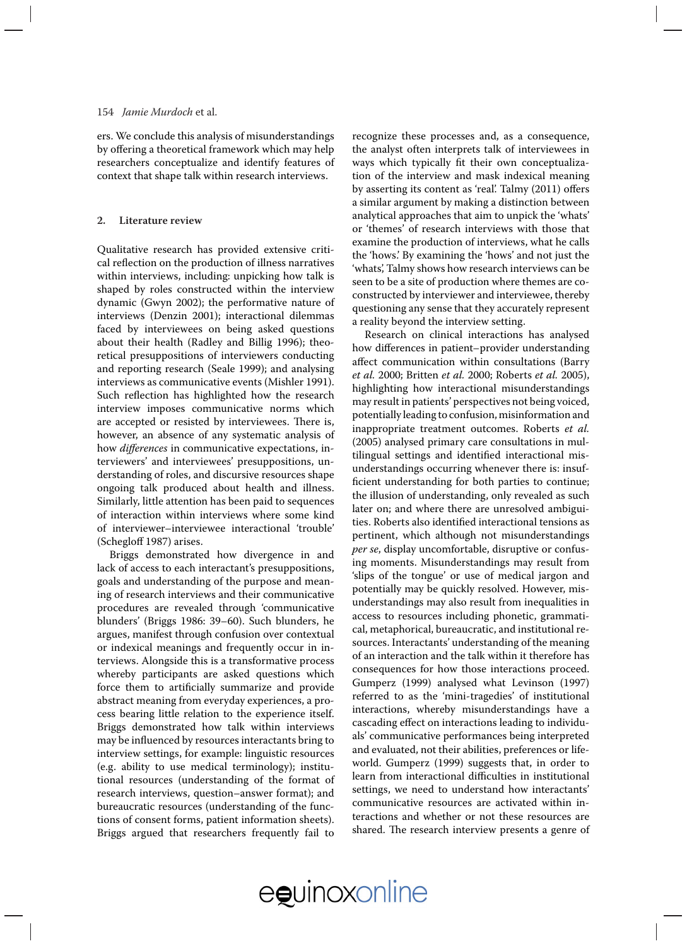ers. We conclude this analysis of misunderstandings by offering a theoretical framework which may help researchers conceptualize and identify features of context that shape talk within research interviews.

### **2. Literature review**

Qualitative research has provided extensive critical reflection on the production of illness narratives within interviews, including: unpicking how talk is shaped by roles constructed within the interview dynamic (Gwyn 2002); the performative nature of interviews (Denzin 2001); interactional dilemmas faced by interviewees on being asked questions about their health (Radley and Billig 1996); theoretical presuppositions of interviewers conducting and reporting research (Seale 1999); and analysing interviews as communicative events (Mishler 1991). Such reflection has highlighted how the research interview imposes communicative norms which are accepted or resisted by interviewees. There is, however, an absence of any systematic analysis of how *differences* in communicative expectations, interviewers' and interviewees' presuppositions, understanding of roles, and discursive resources shape ongoing talk produced about health and illness. Similarly, little attention has been paid to sequences of interaction within interviews where some kind of interviewer–interviewee interactional 'trouble' (Schegloff 1987) arises.

Briggs demonstrated how divergence in and lack of access to each interactant's presuppositions, goals and understanding of the purpose and meaning of research interviews and their communicative procedures are revealed through 'communicative blunders' (Briggs 1986: 39–60). Such blunders, he argues, manifest through confusion over contextual or indexical meanings and frequently occur in interviews. Alongside this is a transformative process whereby participants are asked questions which force them to artificially summarize and provide abstract meaning from everyday experiences, a process bearing little relation to the experience itself. Briggs demonstrated how talk within interviews may be influenced by resources interactants bring to interview settings, for example: linguistic resources (e.g. ability to use medical terminology); institutional resources (understanding of the format of research interviews, question–answer format); and bureaucratic resources (understanding of the functions of consent forms, patient information sheets). Briggs argued that researchers frequently fail to

recognize these processes and, as a consequence, the analyst often interprets talk of interviewees in ways which typically fit their own conceptualization of the interview and mask indexical meaning by asserting its content as 'real'. Talmy (2011) offers a similar argument by making a distinction between analytical approaches that aim to unpick the 'whats' or 'themes' of research interviews with those that examine the production of interviews, what he calls the 'hows.' By examining the 'hows' and not just the 'whats', Talmy shows how research interviews can be seen to be a site of production where themes are coconstructed by interviewer and interviewee, thereby questioning any sense that they accurately represent a reality beyond the interview setting.

 Research on clinical interactions has analysed how differences in patient–provider understanding affect communication within consultations (Barry *et al.* 2000; Britten *et al.* 2000; Roberts *et al.* 2005), highlighting how interactional misunderstandings may result in patients' perspectives not being voiced, potentially leading to confusion, misinformation and inappropriate treatment outcomes. Roberts *et al.* (2005) analysed primary care consultations in multilingual settings and identified interactional misunderstandings occurring whenever there is: insufficient understanding for both parties to continue; the illusion of understanding, only revealed as such later on; and where there are unresolved ambiguities. Roberts also identified interactional tensions as pertinent, which although not misunderstandings *per se*, display uncomfortable, disruptive or confusing moments. Misunderstandings may result from 'slips of the tongue' or use of medical jargon and potentially may be quickly resolved. However, misunderstandings may also result from inequalities in access to resources including phonetic, grammatical, metaphorical, bureaucratic, and institutional resources. Interactants' understanding of the meaning of an interaction and the talk within it therefore has consequences for how those interactions proceed. Gumperz (1999) analysed what Levinson (1997) referred to as the 'mini-tragedies' of institutional interactions, whereby misunderstandings have a cascading effect on interactions leading to individuals' communicative performances being interpreted and evaluated, not their abilities, preferences or lifeworld. Gumperz (1999) suggests that, in order to learn from interactional difficulties in institutional settings, we need to understand how interactants' communicative resources are activated within interactions and whether or not these resources are shared. The research interview presents a genre of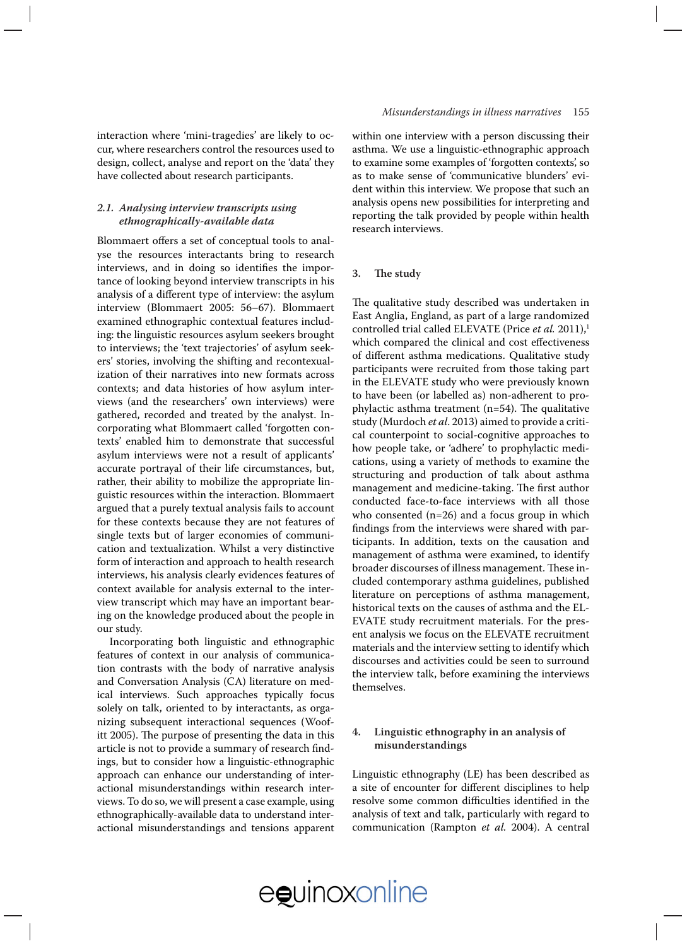interaction where 'mini-tragedies' are likely to occur, where researchers control the resources used to design, collect, analyse and report on the 'data' they have collected about research participants.

## *2.1. Analysing interview transcripts using ethnographically-available data*

Blommaert offers a set of conceptual tools to analyse the resources interactants bring to research interviews, and in doing so identifies the importance of looking beyond interview transcripts in his analysis of a different type of interview: the asylum interview (Blommaert 2005: 56–67). Blommaert examined ethnographic contextual features including: the linguistic resources asylum seekers brought to interviews; the 'text trajectories' of asylum seekers' stories, involving the shifting and recontexualization of their narratives into new formats across contexts; and data histories of how asylum interviews (and the researchers' own interviews) were gathered, recorded and treated by the analyst. Incorporating what Blommaert called 'forgotten contexts' enabled him to demonstrate that successful asylum interviews were not a result of applicants' accurate portrayal of their life circumstances, but, rather, their ability to mobilize the appropriate linguistic resources within the interaction. Blommaert argued that a purely textual analysis fails to account for these contexts because they are not features of single texts but of larger economies of communication and textualization. Whilst a very distinctive form of interaction and approach to health research interviews, his analysis clearly evidences features of context available for analysis external to the interview transcript which may have an important bearing on the knowledge produced about the people in our study.

Incorporating both linguistic and ethnographic features of context in our analysis of communication contrasts with the body of narrative analysis and Conversation Analysis (CA) literature on medical interviews. Such approaches typically focus solely on talk, oriented to by interactants, as organizing subsequent interactional sequences (Woofitt 2005). The purpose of presenting the data in this article is not to provide a summary of research findings, but to consider how a linguistic-ethnographic approach can enhance our understanding of interactional misunderstandings within research interviews. To do so, we will present a case example, using ethnographically-available data to understand interactional misunderstandings and tensions apparent within one interview with a person discussing their asthma. We use a linguistic-ethnographic approach to examine some examples of 'forgotten contexts', so as to make sense of 'communicative blunders' evident within this interview. We propose that such an analysis opens new possibilities for interpreting and reporting the talk provided by people within health research interviews.

### **3. The study**

The qualitative study described was undertaken in East Anglia, England, as part of a large randomized controlled trial called ELEVATE (Price et al. 2011),<sup>1</sup> which compared the clinical and cost effectiveness of different asthma medications. Qualitative study participants were recruited from those taking part in the ELEVATE study who were previously known to have been (or labelled as) non-adherent to prophylactic asthma treatment (n=54). The qualitative study (Murdoch *et al*. 2013) aimed to provide a critical counterpoint to social-cognitive approaches to how people take, or 'adhere' to prophylactic medications, using a variety of methods to examine the structuring and production of talk about asthma management and medicine-taking. The first author conducted face-to-face interviews with all those who consented  $(n=26)$  and a focus group in which findings from the interviews were shared with participants. In addition, texts on the causation and management of asthma were examined, to identify broader discourses of illness management. These included contemporary asthma guidelines, published literature on perceptions of asthma management, historical texts on the causes of asthma and the EL-EVATE study recruitment materials. For the present analysis we focus on the ELEVATE recruitment materials and the interview setting to identify which discourses and activities could be seen to surround the interview talk, before examining the interviews themselves.

## **4. Linguistic ethnography in an analysis of misunderstandings**

Linguistic ethnography (LE) has been described as a site of encounter for different disciplines to help resolve some common difficulties identified in the analysis of text and talk, particularly with regard to communication (Rampton *et al.* 2004). A central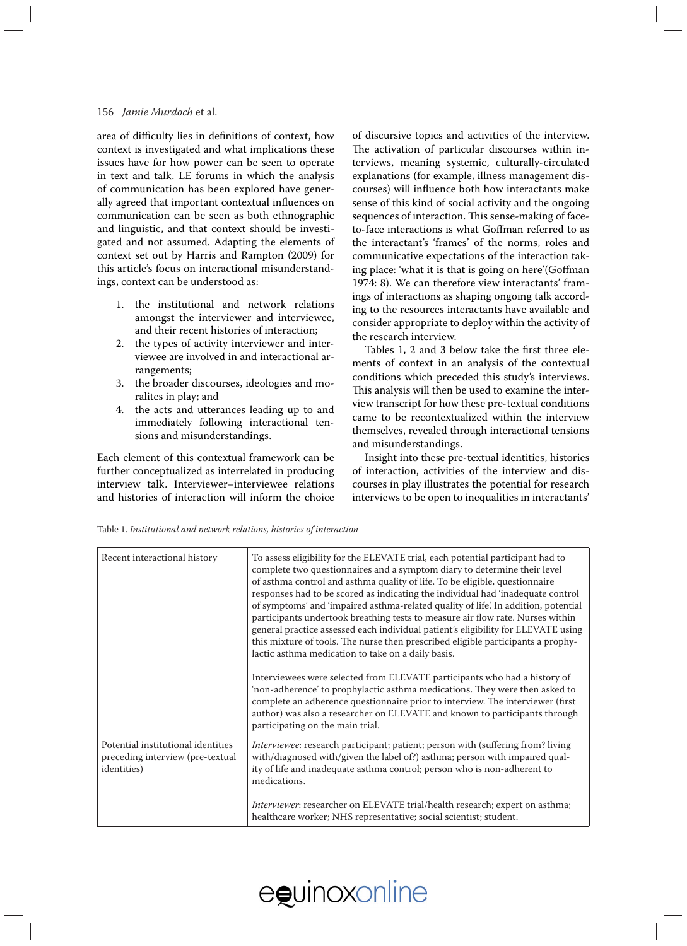area of difficulty lies in definitions of context, how context is investigated and what implications these issues have for how power can be seen to operate in text and talk. LE forums in which the analysis of communication has been explored have generally agreed that important contextual influences on communication can be seen as both ethnographic and linguistic, and that context should be investigated and not assumed. Adapting the elements of context set out by Harris and Rampton (2009) for this article's focus on interactional misunderstandings, context can be understood as:

- 1. the institutional and network relations amongst the interviewer and interviewee, and their recent histories of interaction;
- 2. the types of activity interviewer and interviewee are involved in and interactional arrangements;
- 3. the broader discourses, ideologies and moralites in play; and
- 4. the acts and utterances leading up to and immediately following interactional tensions and misunderstandings.

Each element of this contextual framework can be further conceptualized as interrelated in producing interview talk. Interviewer–interviewee relations and histories of interaction will inform the choice of discursive topics and activities of the interview. The activation of particular discourses within interviews, meaning systemic, culturally-circulated explanations (for example, illness management discourses) will influence both how interactants make sense of this kind of social activity and the ongoing sequences of interaction. This sense-making of faceto-face interactions is what Goffman referred to as the interactant's 'frames' of the norms, roles and communicative expectations of the interaction taking place: 'what it is that is going on here'(Goffman 1974: 8). We can therefore view interactants' framings of interactions as shaping ongoing talk according to the resources interactants have available and consider appropriate to deploy within the activity of the research interview.

 Tables 1, 2 and 3 below take the first three elements of context in an analysis of the contextual conditions which preceded this study's interviews. This analysis will then be used to examine the interview transcript for how these pre-textual conditions came to be recontextualized within the interview themselves, revealed through interactional tensions and misunderstandings.

Insight into these pre-textual identities, histories of interaction, activities of the interview and discourses in play illustrates the potential for research interviews to be open to inequalities in interactants'

Table 1. *Institutional and network relations, histories of interaction*

| Recent interactional history                                                          | To assess eligibility for the ELEVATE trial, each potential participant had to<br>complete two questionnaires and a symptom diary to determine their level<br>of asthma control and asthma quality of life. To be eligible, questionnaire<br>responses had to be scored as indicating the individual had 'inadequate control<br>of symptoms' and 'impaired asthma-related quality of life'. In addition, potential<br>participants undertook breathing tests to measure air flow rate. Nurses within<br>general practice assessed each individual patient's eligibility for ELEVATE using<br>this mixture of tools. The nurse then prescribed eligible participants a prophy-<br>lactic asthma medication to take on a daily basis.<br>Interviewees were selected from ELEVATE participants who had a history of<br>'non-adherence' to prophylactic asthma medications. They were then asked to<br>complete an adherence questionnaire prior to interview. The interviewer (first<br>author) was also a researcher on ELEVATE and known to participants through<br>participating on the main trial. |
|---------------------------------------------------------------------------------------|-----------------------------------------------------------------------------------------------------------------------------------------------------------------------------------------------------------------------------------------------------------------------------------------------------------------------------------------------------------------------------------------------------------------------------------------------------------------------------------------------------------------------------------------------------------------------------------------------------------------------------------------------------------------------------------------------------------------------------------------------------------------------------------------------------------------------------------------------------------------------------------------------------------------------------------------------------------------------------------------------------------------------------------------------------------------------------------------------------|
| Potential institutional identities<br>preceding interview (pre-textual<br>identities) | Interviewee: research participant; patient; person with (suffering from? living<br>with/diagnosed with/given the label of?) asthma; person with impaired qual-<br>ity of life and inadequate asthma control; person who is non-adherent to<br>medications.                                                                                                                                                                                                                                                                                                                                                                                                                                                                                                                                                                                                                                                                                                                                                                                                                                          |
|                                                                                       | Interviewer: researcher on ELEVATE trial/health research; expert on asthma;<br>healthcare worker; NHS representative; social scientist; student.                                                                                                                                                                                                                                                                                                                                                                                                                                                                                                                                                                                                                                                                                                                                                                                                                                                                                                                                                    |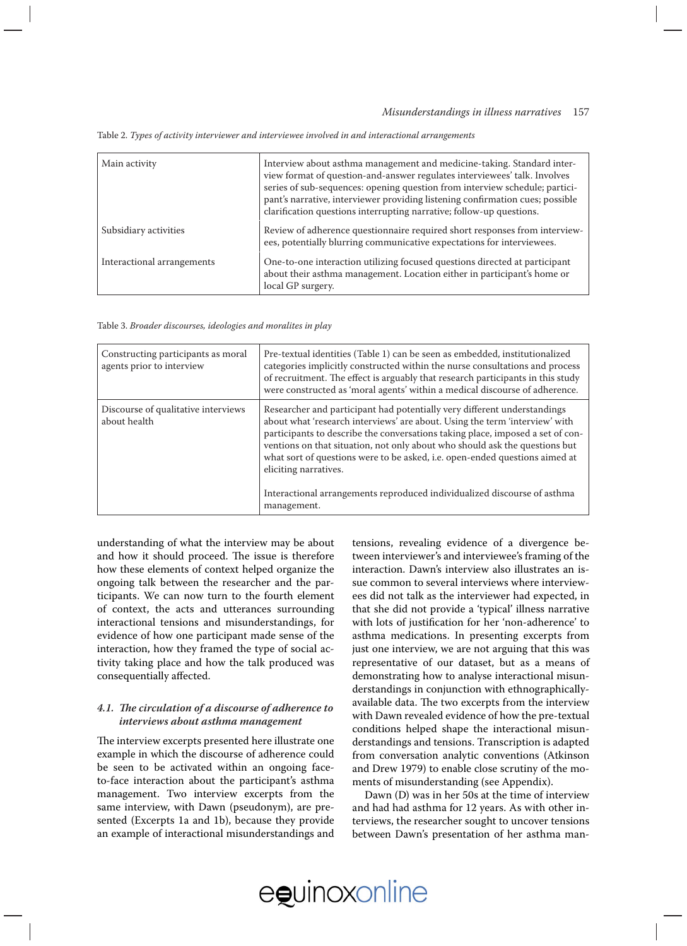| Main activity              | Interview about asthma management and medicine-taking. Standard inter-<br>view format of question-and-answer regulates interviewees' talk. Involves<br>series of sub-sequences: opening question from interview schedule; partici-<br>pant's narrative, interviewer providing listening confirmation cues; possible<br>clarification questions interrupting narrative; follow-up questions. |
|----------------------------|---------------------------------------------------------------------------------------------------------------------------------------------------------------------------------------------------------------------------------------------------------------------------------------------------------------------------------------------------------------------------------------------|
| Subsidiary activities      | Review of adherence questionnaire required short responses from interview-<br>ees, potentially blurring communicative expectations for interviewees.                                                                                                                                                                                                                                        |
| Interactional arrangements | One-to-one interaction utilizing focused questions directed at participant<br>about their asthma management. Location either in participant's home or<br>local GP surgery.                                                                                                                                                                                                                  |

Table 2. *Types of activity interviewer and interviewee involved in and interactional arrangements*

Table 3. *Broader discourses, ideologies and moralites in play*

| Constructing participants as moral<br>agents prior to interview | Pre-textual identities (Table 1) can be seen as embedded, institutionalized<br>categories implicitly constructed within the nurse consultations and process<br>of recruitment. The effect is arguably that research participants in this study<br>were constructed as 'moral agents' within a medical discourse of adherence.                                                                                                                                                                                               |
|-----------------------------------------------------------------|-----------------------------------------------------------------------------------------------------------------------------------------------------------------------------------------------------------------------------------------------------------------------------------------------------------------------------------------------------------------------------------------------------------------------------------------------------------------------------------------------------------------------------|
| Discourse of qualitative interviews<br>about health             | Researcher and participant had potentially very different understandings<br>about what 'research interviews' are about. Using the term 'interview' with<br>participants to describe the conversations taking place, imposed a set of con-<br>ventions on that situation, not only about who should ask the questions but<br>what sort of questions were to be asked, i.e. open-ended questions aimed at<br>eliciting narratives.<br>Interactional arrangements reproduced individualized discourse of asthma<br>management. |

understanding of what the interview may be about and how it should proceed. The issue is therefore how these elements of context helped organize the ongoing talk between the researcher and the participants. We can now turn to the fourth element of context, the acts and utterances surrounding interactional tensions and misunderstandings, for evidence of how one participant made sense of the interaction, how they framed the type of social activity taking place and how the talk produced was consequentially affected.

### *4.1. The circulation of a discourse of adherence to interviews about asthma management*

The interview excerpts presented here illustrate one example in which the discourse of adherence could be seen to be activated within an ongoing faceto-face interaction about the participant's asthma management. Two interview excerpts from the same interview, with Dawn (pseudonym), are presented (Excerpts 1a and 1b), because they provide an example of interactional misunderstandings and

tensions, revealing evidence of a divergence between interviewer's and interviewee's framing of the interaction. Dawn's interview also illustrates an issue common to several interviews where interviewees did not talk as the interviewer had expected, in that she did not provide a 'typical' illness narrative with lots of justification for her 'non-adherence' to asthma medications. In presenting excerpts from just one interview, we are not arguing that this was representative of our dataset, but as a means of demonstrating how to analyse interactional misunderstandings in conjunction with ethnographicallyavailable data. The two excerpts from the interview with Dawn revealed evidence of how the pre-textual conditions helped shape the interactional misunderstandings and tensions. Transcription is adapted from conversation analytic conventions (Atkinson and Drew 1979) to enable close scrutiny of the moments of misunderstanding (see Appendix).

Dawn (D) was in her 50s at the time of interview and had had asthma for 12 years. As with other interviews, the researcher sought to uncover tensions between Dawn's presentation of her asthma man-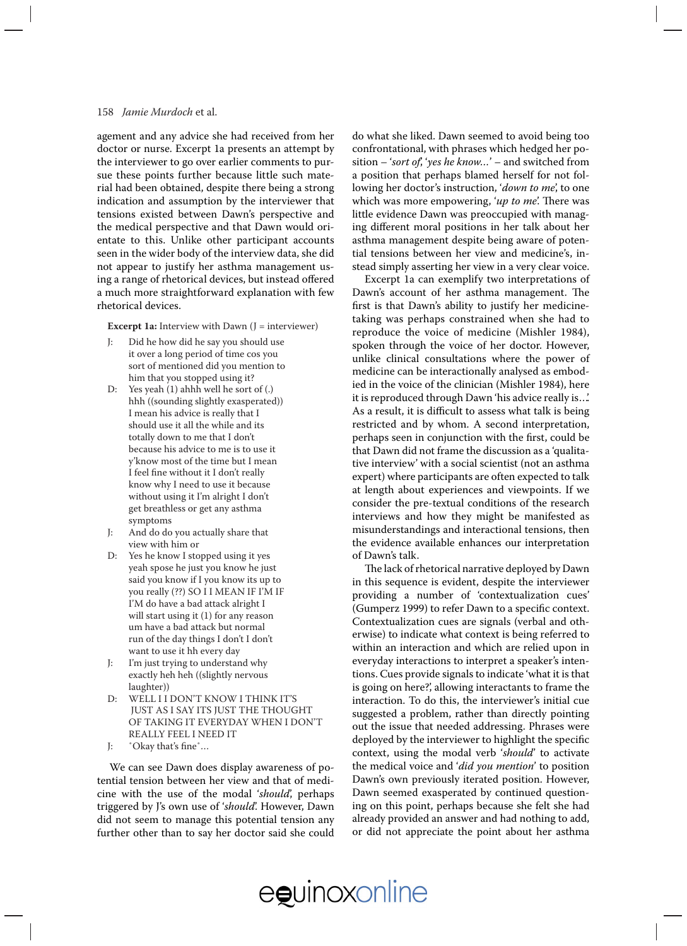agement and any advice she had received from her doctor or nurse. Excerpt 1a presents an attempt by the interviewer to go over earlier comments to pursue these points further because little such material had been obtained, despite there being a strong indication and assumption by the interviewer that tensions existed between Dawn's perspective and the medical perspective and that Dawn would orientate to this. Unlike other participant accounts seen in the wider body of the interview data, she did not appear to justify her asthma management using a range of rhetorical devices, but instead offered a much more straightforward explanation with few rhetorical devices.

**Excerpt 1a:** Interview with Dawn (J = interviewer)

- J: Did he how did he say you should use it over a long period of time cos you sort of mentioned did you mention to him that you stopped using it?
- D: Yes yeah (1) ahhh well he sort of (.) hhh ((sounding slightly exasperated)) I mean his advice is really that I should use it all the while and its totally down to me that I don't because his advice to me is to use it y'know most of the time but I mean I feel fine without it I don't really know why I need to use it because without using it I'm alright I don't get breathless or get any asthma symptoms
- J: And do do you actually share that view with him or
- D: Yes he know I stopped using it yes yeah spose he just you know he just said you know if I you know its up to you really (??) SO I I MEAN IF I'M IF I'M do have a bad attack alright I will start using it (1) for any reason um have a bad attack but normal run of the day things I don't I don't want to use it hh every day
- J: I'm just trying to understand why exactly heh heh ((slightly nervous laughter))
- D: WELL I I DON'T KNOW I THINK IT'S JUST AS I SAY ITS JUST THE THOUGHT OF TAKING IT EVERYDAY WHEN I DON'T REALLY FEEL I NEED IT
- J: ˚Okay that's fine˚…

We can see Dawn does display awareness of potential tension between her view and that of medicine with the use of the modal '*should*', perhaps triggered by J's own use of '*should*'. However, Dawn did not seem to manage this potential tension any further other than to say her doctor said she could do what she liked. Dawn seemed to avoid being too confrontational, with phrases which hedged her position – '*sort of*', '*yes he know…*' – and switched from a position that perhaps blamed herself for not following her doctor's instruction, '*down to me*', to one which was more empowering, '*up to me*'. There was little evidence Dawn was preoccupied with managing different moral positions in her talk about her asthma management despite being aware of potential tensions between her view and medicine's, instead simply asserting her view in a very clear voice.

Excerpt 1a can exemplify two interpretations of Dawn's account of her asthma management. The first is that Dawn's ability to justify her medicinetaking was perhaps constrained when she had to reproduce the voice of medicine (Mishler 1984), spoken through the voice of her doctor. However, unlike clinical consultations where the power of medicine can be interactionally analysed as embodied in the voice of the clinician (Mishler 1984), here it is reproduced through Dawn 'his advice really is…'. As a result, it is difficult to assess what talk is being restricted and by whom. A second interpretation, perhaps seen in conjunction with the first, could be that Dawn did not frame the discussion as a 'qualitative interview' with a social scientist (not an asthma expert) where participants are often expected to talk at length about experiences and viewpoints. If we consider the pre-textual conditions of the research interviews and how they might be manifested as misunderstandings and interactional tensions, then the evidence available enhances our interpretation of Dawn's talk.

The lack of rhetorical narrative deployed by Dawn in this sequence is evident, despite the interviewer providing a number of 'contextualization cues' (Gumperz 1999) to refer Dawn to a specific context. Contextualization cues are signals (verbal and otherwise) to indicate what context is being referred to within an interaction and which are relied upon in everyday interactions to interpret a speaker's intentions. Cues provide signals to indicate 'what it is that is going on here?', allowing interactants to frame the interaction. To do this, the interviewer's initial cue suggested a problem, rather than directly pointing out the issue that needed addressing. Phrases were deployed by the interviewer to highlight the specific context, using the modal verb '*should*' to activate the medical voice and '*did you mention*' to position Dawn's own previously iterated position. However, Dawn seemed exasperated by continued questioning on this point, perhaps because she felt she had already provided an answer and had nothing to add, or did not appreciate the point about her asthma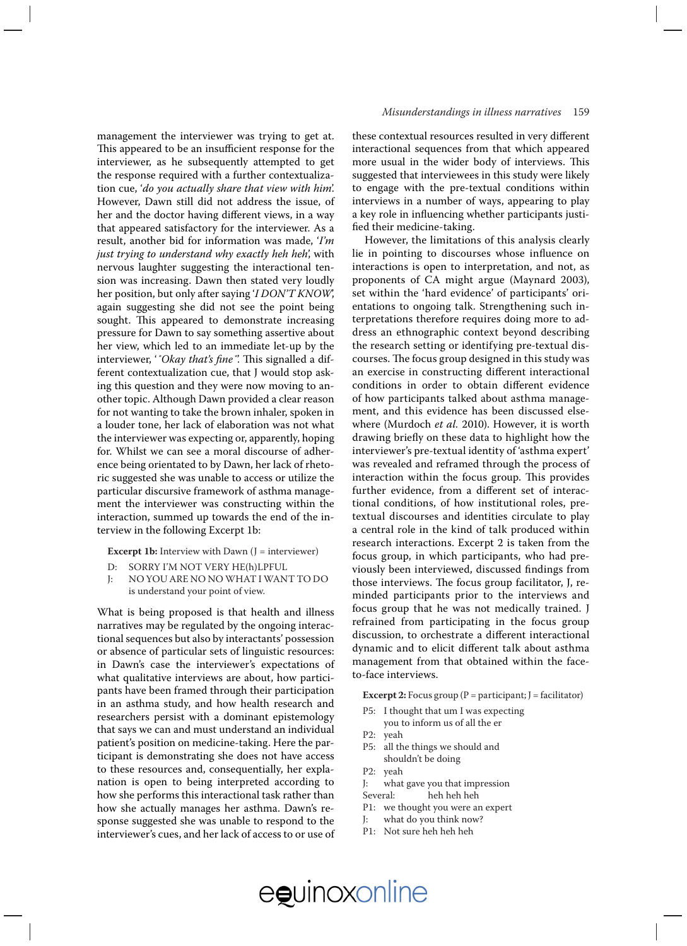management the interviewer was trying to get at. This appeared to be an insufficient response for the interviewer, as he subsequently attempted to get the response required with a further contextualization cue, '*do you actually share that view with him*'. However, Dawn still did not address the issue, of her and the doctor having different views, in a way that appeared satisfactory for the interviewer. As a result, another bid for information was made, '*I'm just trying to understand why exactly heh heh*', with nervous laughter suggesting the interactional tension was increasing. Dawn then stated very loudly her position, but only after saying '*I DON'T KNOW*', again suggesting she did not see the point being sought. This appeared to demonstrate increasing pressure for Dawn to say something assertive about her view, which led to an immediate let-up by the interviewer, '*˚Okay that's fine˚*'. This signalled a different contextualization cue, that J would stop asking this question and they were now moving to another topic. Although Dawn provided a clear reason for not wanting to take the brown inhaler, spoken in a louder tone, her lack of elaboration was not what the interviewer was expecting or, apparently, hoping for. Whilst we can see a moral discourse of adherence being orientated to by Dawn, her lack of rhetoric suggested she was unable to access or utilize the particular discursive framework of asthma management the interviewer was constructing within the interaction, summed up towards the end of the interview in the following Excerpt 1b:

**Excerpt 1b:** Interview with Dawn (J = interviewer)

- D: SORRY I'M NOT VERY HE(h)LPFUL<br>I: NO YOU ARE NO NO WHAT I WAN
- J: NO YOU ARE NO NO WHAT I WANT TO DO is understand your point of view.

What is being proposed is that health and illness narratives may be regulated by the ongoing interactional sequences but also by interactants' possession or absence of particular sets of linguistic resources: in Dawn's case the interviewer's expectations of what qualitative interviews are about, how participants have been framed through their participation in an asthma study, and how health research and researchers persist with a dominant epistemology that says we can and must understand an individual patient's position on medicine-taking. Here the participant is demonstrating she does not have access to these resources and, consequentially, her explanation is open to being interpreted according to how she performs this interactional task rather than how she actually manages her asthma. Dawn's response suggested she was unable to respond to the interviewer's cues, and her lack of access to or use of

### *Misunderstandings in illness narratives* 159

these contextual resources resulted in very different interactional sequences from that which appeared more usual in the wider body of interviews. This suggested that interviewees in this study were likely to engage with the pre-textual conditions within interviews in a number of ways, appearing to play a key role in influencing whether participants justified their medicine-taking.

 However, the limitations of this analysis clearly lie in pointing to discourses whose influence on interactions is open to interpretation, and not, as proponents of CA might argue (Maynard 2003), set within the 'hard evidence' of participants' orientations to ongoing talk. Strengthening such interpretations therefore requires doing more to address an ethnographic context beyond describing the research setting or identifying pre-textual discourses. The focus group designed in this study was an exercise in constructing different interactional conditions in order to obtain different evidence of how participants talked about asthma management, and this evidence has been discussed elsewhere (Murdoch *et al.* 2010). However, it is worth drawing briefly on these data to highlight how the interviewer's pre-textual identity of 'asthma expert' was revealed and reframed through the process of interaction within the focus group. This provides further evidence, from a different set of interactional conditions, of how institutional roles, pretextual discourses and identities circulate to play a central role in the kind of talk produced within research interactions. Excerpt 2 is taken from the focus group, in which participants, who had previously been interviewed, discussed findings from those interviews. The focus group facilitator, J, reminded participants prior to the interviews and focus group that he was not medically trained. J refrained from participating in the focus group discussion, to orchestrate a different interactional dynamic and to elicit different talk about asthma management from that obtained within the faceto-face interviews.

**Excerpt 2:** Focus group  $(P =$  participant;  $J =$  facilitator)

- P5: I thought that um I was expecting you to inform us of all the er
- P2: yeah
- P5: all the things we should and shouldn't be doing
- P2: yeah<br>I: what

J: what gave you that impression heh heh heh

- P1: we thought you were an expert
- J: what do you think now?
- P1: Not sure heh heh heh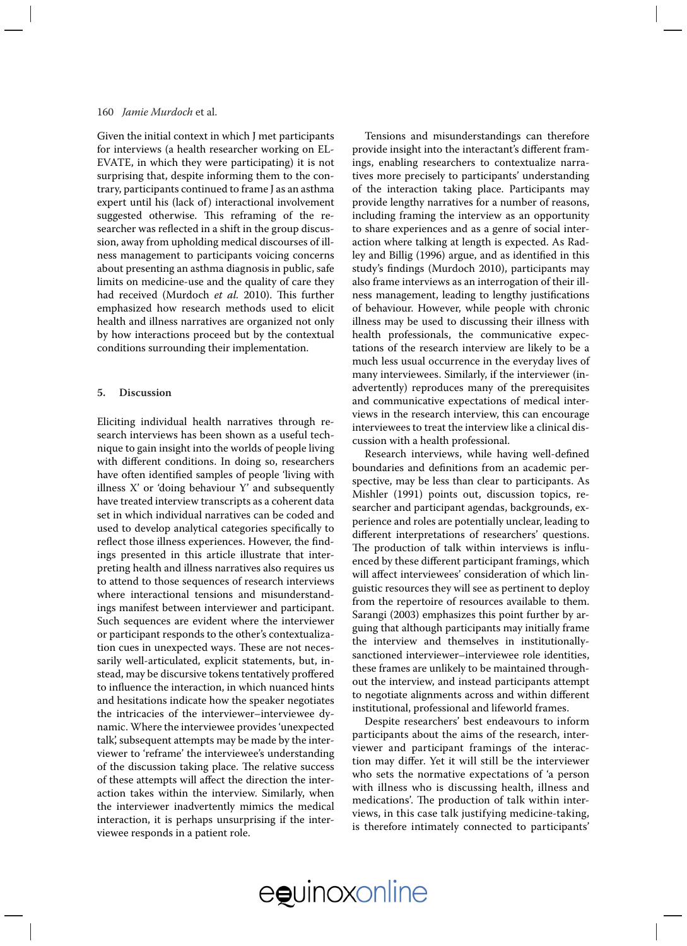Given the initial context in which J met participants for interviews (a health researcher working on EL-EVATE, in which they were participating) it is not surprising that, despite informing them to the contrary, participants continued to frame J as an asthma expert until his (lack of) interactional involvement suggested otherwise. This reframing of the researcher was reflected in a shift in the group discussion, away from upholding medical discourses of illness management to participants voicing concerns about presenting an asthma diagnosis in public, safe limits on medicine-use and the quality of care they had received (Murdoch *et al.* 2010). This further emphasized how research methods used to elicit health and illness narratives are organized not only by how interactions proceed but by the contextual conditions surrounding their implementation.

### **5. Discussion**

Eliciting individual health narratives through research interviews has been shown as a useful technique to gain insight into the worlds of people living with different conditions. In doing so, researchers have often identified samples of people 'living with illness X' or 'doing behaviour Y' and subsequently have treated interview transcripts as a coherent data set in which individual narratives can be coded and used to develop analytical categories specifically to reflect those illness experiences. However, the findings presented in this article illustrate that interpreting health and illness narratives also requires us to attend to those sequences of research interviews where interactional tensions and misunderstandings manifest between interviewer and participant. Such sequences are evident where the interviewer or participant responds to the other's contextualization cues in unexpected ways. These are not necessarily well-articulated, explicit statements, but, instead, may be discursive tokens tentatively proffered to influence the interaction, in which nuanced hints and hesitations indicate how the speaker negotiates the intricacies of the interviewer–interviewee dynamic. Where the interviewee provides 'unexpected talk', subsequent attempts may be made by the interviewer to 'reframe' the interviewee's understanding of the discussion taking place. The relative success of these attempts will affect the direction the interaction takes within the interview. Similarly, when the interviewer inadvertently mimics the medical interaction, it is perhaps unsurprising if the interviewee responds in a patient role.

 Tensions and misunderstandings can therefore provide insight into the interactant's different framings, enabling researchers to contextualize narratives more precisely to participants' understanding of the interaction taking place. Participants may provide lengthy narratives for a number of reasons, including framing the interview as an opportunity to share experiences and as a genre of social interaction where talking at length is expected. As Radley and Billig (1996) argue, and as identified in this study's findings (Murdoch 2010), participants may also frame interviews as an interrogation of their illness management, leading to lengthy justifications of behaviour. However, while people with chronic illness may be used to discussing their illness with health professionals, the communicative expectations of the research interview are likely to be a much less usual occurrence in the everyday lives of many interviewees. Similarly, if the interviewer (inadvertently) reproduces many of the prerequisites and communicative expectations of medical interviews in the research interview, this can encourage interviewees to treat the interview like a clinical discussion with a health professional.

 Research interviews, while having well-defined boundaries and definitions from an academic perspective, may be less than clear to participants. As Mishler (1991) points out, discussion topics, researcher and participant agendas, backgrounds, experience and roles are potentially unclear, leading to different interpretations of researchers' questions. The production of talk within interviews is influenced by these different participant framings, which will affect interviewees' consideration of which linguistic resources they will see as pertinent to deploy from the repertoire of resources available to them. Sarangi (2003) emphasizes this point further by arguing that although participants may initially frame the interview and themselves in institutionallysanctioned interviewer–interviewee role identities, these frames are unlikely to be maintained throughout the interview, and instead participants attempt to negotiate alignments across and within different institutional, professional and lifeworld frames.

Despite researchers' best endeavours to inform participants about the aims of the research, interviewer and participant framings of the interaction may differ. Yet it will still be the interviewer who sets the normative expectations of 'a person with illness who is discussing health, illness and medications'. The production of talk within interviews, in this case talk justifying medicine-taking, is therefore intimately connected to participants'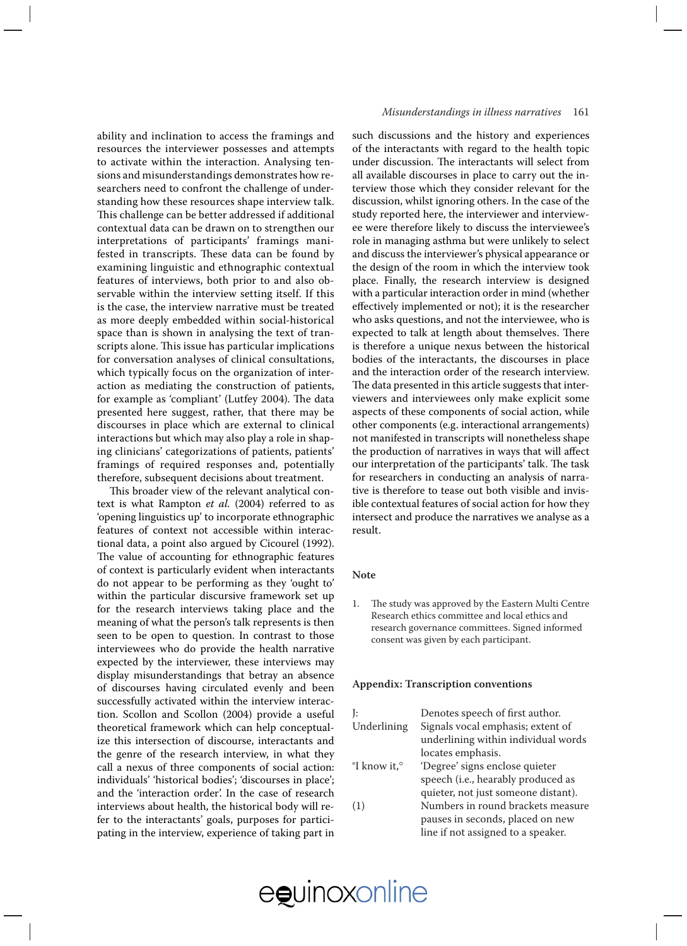ability and inclination to access the framings and resources the interviewer possesses and attempts to activate within the interaction. Analysing tensions and misunderstandings demonstrates how researchers need to confront the challenge of understanding how these resources shape interview talk. This challenge can be better addressed if additional contextual data can be drawn on to strengthen our interpretations of participants' framings manifested in transcripts. These data can be found by examining linguistic and ethnographic contextual features of interviews, both prior to and also observable within the interview setting itself. If this is the case, the interview narrative must be treated as more deeply embedded within social-historical space than is shown in analysing the text of transcripts alone. This issue has particular implications for conversation analyses of clinical consultations, which typically focus on the organization of interaction as mediating the construction of patients, for example as 'compliant' (Lutfey 2004). The data presented here suggest, rather, that there may be discourses in place which are external to clinical interactions but which may also play a role in shaping clinicians' categorizations of patients, patients' framings of required responses and, potentially therefore, subsequent decisions about treatment.

This broader view of the relevant analytical context is what Rampton *et al.* (2004) referred to as 'opening linguistics up' to incorporate ethnographic features of context not accessible within interactional data, a point also argued by Cicourel (1992). The value of accounting for ethnographic features of context is particularly evident when interactants do not appear to be performing as they 'ought to' within the particular discursive framework set up for the research interviews taking place and the meaning of what the person's talk represents is then seen to be open to question. In contrast to those interviewees who do provide the health narrative expected by the interviewer, these interviews may display misunderstandings that betray an absence of discourses having circulated evenly and been successfully activated within the interview interaction. Scollon and Scollon (2004) provide a useful theoretical framework which can help conceptualize this intersection of discourse, interactants and the genre of the research interview, in what they call a nexus of three components of social action: individuals' 'historical bodies'; 'discourses in place'; and the 'interaction order'. In the case of research interviews about health, the historical body will refer to the interactants' goals, purposes for participating in the interview, experience of taking part in

### *Misunderstandings in illness narratives* 161

such discussions and the history and experiences of the interactants with regard to the health topic under discussion. The interactants will select from all available discourses in place to carry out the interview those which they consider relevant for the discussion, whilst ignoring others. In the case of the study reported here, the interviewer and interviewee were therefore likely to discuss the interviewee's role in managing asthma but were unlikely to select and discuss the interviewer's physical appearance or the design of the room in which the interview took place. Finally, the research interview is designed with a particular interaction order in mind (whether effectively implemented or not); it is the researcher who asks questions, and not the interviewee, who is expected to talk at length about themselves. There is therefore a unique nexus between the historical bodies of the interactants, the discourses in place and the interaction order of the research interview. The data presented in this article suggests that interviewers and interviewees only make explicit some aspects of these components of social action, while other components (e.g. interactional arrangements) not manifested in transcripts will nonetheless shape the production of narratives in ways that will affect our interpretation of the participants' talk. The task for researchers in conducting an analysis of narrative is therefore to tease out both visible and invisible contextual features of social action for how they intersect and produce the narratives we analyse as a result.

### **Note**

1. The study was approved by the Eastern Multi Centre Research ethics committee and local ethics and research governance committees. Signed informed consent was given by each participant.

#### **Appendix: Transcription conventions**

J: Denotes speech of first author.<br>Underlining Signals vocal emphasis; extent Signals vocal emphasis; extent of underlining within individual words locates emphasis. °I know it,° 'Degree' signs enclose quieter speech (i.e., hearably produced as quieter, not just someone distant). (1) Numbers in round brackets measure pauses in seconds, placed on new line if not assigned to a speaker.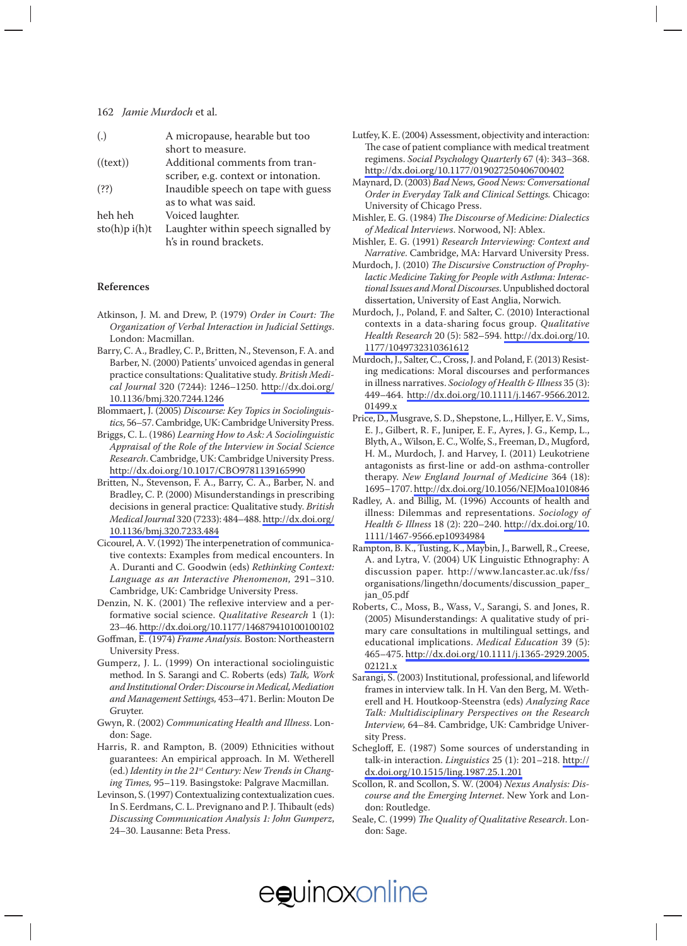| $\left( .\right)$ | A micropause, hearable but too       |
|-------------------|--------------------------------------|
|                   | short to measure.                    |
| ((text)           | Additional comments from tran-       |
|                   | scriber, e.g. context or intonation. |
| (?)               | Inaudible speech on tape with guess  |
|                   | as to what was said.                 |
| heh heh           | Voiced laughter.                     |
| sto(h)p(i(h)t)    | Laughter within speech signalled by  |
|                   | h's in round brackets.               |

### **References**

- Atkinson, J. M. and Drew, P. (1979) *Order in Court: The Organization of Verbal Interaction in Judicial Settings*. London: Macmillan.
- Barry, C. A., Bradley, C. P., Britten, N., Stevenson, F. A. and Barber, N. (2000) Patients' unvoiced agendas in general practice consultations: Qualitative study. *British Medical Journal* 320 (7244): 1246–1250. [http://dx.doi.org/](http://dx.doi.org/10.1136/bmj.320.7244.1246) [10.1136/bmj.320.7244.1246](http://dx.doi.org/10.1136/bmj.320.7244.1246)
- Blommaert, J. (2005) *Discourse: Key Topics in Sociolinguistics,* 56*–*57. Cambridge, UK: Cambridge University Press.
- Briggs, C. L. (1986) *Learning How to Ask: A Sociolinguistic Appraisal of the Role of the Interview in Social Science Research*. Cambridge, UK: Cambridge University Press. <http://dx.doi.org/10.1017/CBO9781139165990>
- Britten, N., Stevenson, F. A., Barry, C. A., Barber, N. and Bradley, C. P. (2000) Misunderstandings in prescribing decisions in general practice: Qualitative study. *British Medical Journal* 320 (7233): 484–488. [http://dx.doi.org/](http://dx.doi.org/10.1136/bmj.320.7233.484) [10.1136/bmj.320.7233.484](http://dx.doi.org/10.1136/bmj.320.7233.484)
- Cicourel, A. V. (1992) The interpenetration of communicative contexts: Examples from medical encounters. In A. Duranti and C. Goodwin (eds) *Rethinking Context: Language as an Interactive Phenomenon*, 291–310. Cambridge, UK: Cambridge University Press.
- Denzin, N. K. (2001) The reflexive interview and a performative social science. *Qualitative Research* 1 (1): 23–46.<http://dx.doi.org/10.1177/146879410100100102>
- Goffman, E. (1974) *Frame Analysis.* Boston: Northeastern University Press.
- Gumperz, J. L. (1999) On interactional sociolinguistic method. In S. Sarangi and C. Roberts (eds) *Talk, Work and Institutional Order: Discourse in Medical, Mediation and Management Settings,* 453–471. Berlin: Mouton De Gruyter.
- Gwyn, R. (2002) *Communicating Health and Illness*. London: Sage.
- Harris, R. and Rampton, B. (2009) Ethnicities without guarantees: An empirical approach. In M. Wetherell (ed.) *Identity in the 21st Century: New Trends in Changing Times,* 95–119. Basingstoke: Palgrave Macmillan.
- Levinson, S. (1997) Contextualizing contextualization cues. In S. Eerdmans, C. L. Prevignano and P. J. Thibault (eds) *Discussing Communication Analysis 1: John Gumperz*, 24–30. Lausanne: Beta Press.
- Lutfey, K. E. (2004) Assessment, objectivity and interaction: The case of patient compliance with medical treatment regimens. *Social Psychology Quarterly* 67 (4): 343–368. <http://dx.doi.org/10.1177/019027250406700402>
- Maynard, D. (2003) *Bad News, Good News: Conversational Order in Everyday Talk and Clinical Settings.* Chicago: University of Chicago Press.
- Mishler, E. G. (1984) *The Discourse of Medicine: Dialectics of Medical Interviews*. Norwood, NJ: Ablex.
- Mishler, E. G. (1991) *Research Interviewing: Context and Narrative*. Cambridge, MA: Harvard University Press.
- Murdoch, J. (2010) *The Discursive Construction of Prophylactic Medicine Taking for People with Asthma: Interactional Issues and Moral Discourses*. Unpublished doctoral dissertation, University of East Anglia, Norwich.
- Murdoch, J., Poland, F. and Salter, C. (2010) Interactional contexts in a data-sharing focus group. *Qualitative Health Research* 20 (5): 582–594. [http://dx.doi.org/10.](http://dx.doi.org/10.1177/1049732310361612) [1177/1049732310361612](http://dx.doi.org/10.1177/1049732310361612)
- Murdoch, J., Salter, C., Cross, J. and Poland, F. (2013) Resisting medications: Moral discourses and performances in illness narratives. *Sociology of Health & Illness* 35 (3): 449–464. [http://dx.doi.org/10.1111/j.1467-9566.2012.](http://dx.doi.org/10.1111/j.1467-9566.2012.01499.x) [01499.x](http://dx.doi.org/10.1111/j.1467-9566.2012.01499.x)
- Price, D., Musgrave, S. D., Shepstone, L., Hillyer, E. V., Sims, E. J., Gilbert, R. F., Juniper, E. F., Ayres, J. G., Kemp, L., Blyth, A., Wilson, E. C., Wolfe, S., Freeman, D., Mugford, H. M., Murdoch, J. and Harvey, I. (2011) Leukotriene antagonists as first-line or add-on asthma-controller therapy. *New England Journal of Medicine* 364 (18): 1695–1707.<http://dx.doi.org/10.1056/NEJMoa1010846>
- Radley, A. and Billig, M. (1996) Accounts of health and illness: Dilemmas and representations. *Sociology of Health & Illness* 18 (2): 220–240. [http://dx.doi.org/10.](http://dx.doi.org/10.1111/1467-9566.ep10934984) [1111/1467-9566.ep10934984](http://dx.doi.org/10.1111/1467-9566.ep10934984)
- Rampton, B. K., Tusting, K., Maybin, J., Barwell, R., Creese, A. and Lytra, V. (2004) UK Linguistic Ethnography: A discussion paper. http://www.lancaster.ac.uk/fss/ organisations/lingethn/documents/discussion\_paper\_ jan\_05.pdf
- Roberts, C., Moss, B., Wass, V., Sarangi, S. and Jones, R. (2005) Misunderstandings: A qualitative study of primary care consultations in multilingual settings, and educational implications. *Medical Education* 39 (5): 465–475. [http://dx.doi.org/10.1111/j.1365-2929.2005.](http://dx.doi.org/10.1111/j.1365-2929.2005.02121.x) [02121.x](http://dx.doi.org/10.1111/j.1365-2929.2005.02121.x)
- Sarangi, S. (2003) Institutional, professional, and lifeworld frames in interview talk. In H. Van den Berg, M. Wetherell and H. Houtkoop-Steenstra (eds) *Analyzing Race Talk: Multidisciplinary Perspectives on the Research Interview,* 64–84. Cambridge, UK: Cambridge University Press.
- Schegloff, E. (1987) Some sources of understanding in talk-in interaction. *Linguistics* 25 (1): 201–218. [http://](http://dx.doi.org/10.1515/ling.1987.25.1.201) [dx.doi.org/10.1515/ling.1987.25.1.201](http://dx.doi.org/10.1515/ling.1987.25.1.201)
- Scollon, R. and Scollon, S. W. (2004) *Nexus Analysis: Discourse and the Emerging Internet*. New York and London: Routledge.
- Seale, C. (1999) *The Quality of Qualitative Research*. London: Sage.